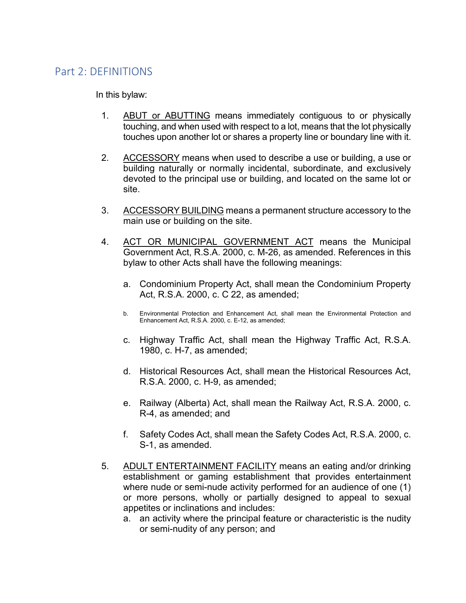## Part 2: DEFINITIONS

In this bylaw:

- 1. ABUT or ABUTTING means immediately contiguous to or physically touching, and when used with respect to a lot, means that the lot physically touches upon another lot or shares a property line or boundary line with it.
- 2. ACCESSORY means when used to describe a use or building, a use or building naturally or normally incidental, subordinate, and exclusively devoted to the principal use or building, and located on the same lot or site.
- 3. ACCESSORY BUILDING means a permanent structure accessory to the main use or building on the site.
- 4. ACT OR MUNICIPAL GOVERNMENT ACT means the Municipal Government Act, R.S.A. 2000, c. M-26, as amended. References in this bylaw to other Acts shall have the following meanings:
	- a. Condominium Property Act, shall mean the Condominium Property Act, R.S.A. 2000, c. C 22, as amended;
	- b. Environmental Protection and Enhancement Act, shall mean the Environmental Protection and Enhancement Act, R.S.A. 2000, c. E-12, as amended;
	- c. Highway Traffic Act, shall mean the Highway Traffic Act, R.S.A. 1980, c. H-7, as amended;
	- d. Historical Resources Act, shall mean the Historical Resources Act, R.S.A. 2000, c. H-9, as amended;
	- e. Railway (Alberta) Act, shall mean the Railway Act, R.S.A. 2000, c. R-4, as amended; and
	- f. Safety Codes Act, shall mean the Safety Codes Act, R.S.A. 2000, c. S-1, as amended.
- 5. ADULT ENTERTAINMENT FACILITY means an eating and/or drinking establishment or gaming establishment that provides entertainment where nude or semi-nude activity performed for an audience of one (1) or more persons, wholly or partially designed to appeal to sexual appetites or inclinations and includes:
	- a. an activity where the principal feature or characteristic is the nudity or semi-nudity of any person; and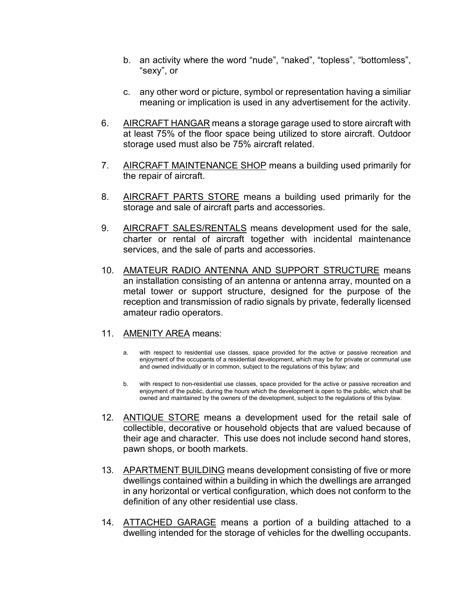- b. an activity where the word "nude", "naked", "topless", "bottomless", "sexy", or
- c. any other word or picture, symbol or representation having a similiar meaning or implication is used in any advertisement for the activity.
- 6. AIRCRAFT HANGAR means a storage garage used to store aircraft with at least 75% of the floor space being utilized to store aircraft. Outdoor storage used must also be 75% aircraft related.
- 7. AIRCRAFT MAINTENANCE SHOP means a building used primarily for the repair of aircraft.
- 8. AIRCRAFT PARTS STORE means a building used primarily for the storage and sale of aircraft parts and accessories.
- 9. AIRCRAFT SALES/RENTALS means development used for the sale, charter or rental of aircraft together with incidental maintenance services, and the sale of parts and accessories.
- 10. AMATEUR RADIO ANTENNA AND SUPPORT STRUCTURE means an installation consisting of an antenna or antenna array, mounted on a metal tower or support structure, designed for the purpose of the reception and transmission of radio signals by private, federally licensed amateur radio operators.

## 11. AMENITY AREA means:

- a. with respect to residential use classes, space provided for the active or passive recreation and enjoyment of the occupants of a residential development, which may be for private or communal use and owned individually or in common, subject to the regulations of this bylaw; and
- b. with respect to non-residential use classes, space provided for the active or passive recreation and enjoyment of the public, during the hours which the development is open to the public, which shall be owned and maintained by the owners of the development, subject to the regulations of this bylaw.
- 12. ANTIQUE STORE means a development used for the retail sale of collectible, decorative or household objects that are valued because of their age and character. This use does not include second hand stores, pawn shops, or booth markets.
- 13. APARTMENT BUILDING means development consisting of five or more dwellings contained within a building in which the dwellings are arranged in any horizontal or vertical configuration, which does not conform to the definition of any other residential use class.
- 14. ATTACHED GARAGE means a portion of a building attached to a dwelling intended for the storage of vehicles for the dwelling occupants.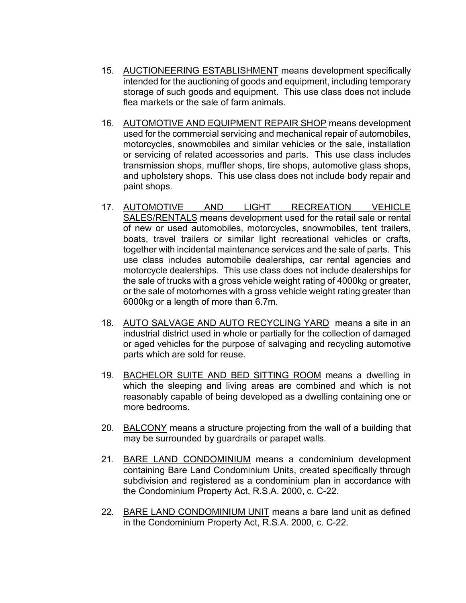- 15. AUCTIONEERING ESTABLISHMENT means development specifically intended for the auctioning of goods and equipment, including temporary storage of such goods and equipment. This use class does not include flea markets or the sale of farm animals.
- 16. AUTOMOTIVE AND EQUIPMENT REPAIR SHOP means development used for the commercial servicing and mechanical repair of automobiles, motorcycles, snowmobiles and similar vehicles or the sale, installation or servicing of related accessories and parts. This use class includes transmission shops, muffler shops, tire shops, automotive glass shops, and upholstery shops. This use class does not include body repair and paint shops.
- 17. AUTOMOTIVE AND LIGHT RECREATION VEHICLE SALES/RENTALS means development used for the retail sale or rental of new or used automobiles, motorcycles, snowmobiles, tent trailers, boats, travel trailers or similar light recreational vehicles or crafts, together with incidental maintenance services and the sale of parts. This use class includes automobile dealerships, car rental agencies and motorcycle dealerships. This use class does not include dealerships for the sale of trucks with a gross vehicle weight rating of 4000kg or greater, or the sale of motorhomes with a gross vehicle weight rating greater than 6000kg or a length of more than 6.7m.
- 18. AUTO SALVAGE AND AUTO RECYCLING YARD means a site in an industrial district used in whole or partially for the collection of damaged or aged vehicles for the purpose of salvaging and recycling automotive parts which are sold for reuse.
- 19. BACHELOR SUITE AND BED SITTING ROOM means a dwelling in which the sleeping and living areas are combined and which is not reasonably capable of being developed as a dwelling containing one or more bedrooms.
- 20. BALCONY means a structure projecting from the wall of a building that may be surrounded by guardrails or parapet walls.
- 21. BARE LAND CONDOMINIUM means a condominium development containing Bare Land Condominium Units, created specifically through subdivision and registered as a condominium plan in accordance with the Condominium Property Act, R.S.A. 2000, c. C-22.
- 22. BARE LAND CONDOMINIUM UNIT means a bare land unit as defined in the Condominium Property Act, R.S.A. 2000, c. C-22.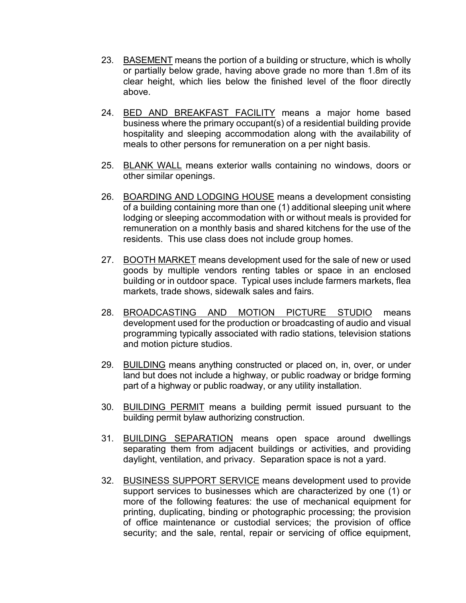- 23. BASEMENT means the portion of a building or structure, which is wholly or partially below grade, having above grade no more than 1.8m of its clear height, which lies below the finished level of the floor directly above.
- 24. BED AND BREAKFAST FACILITY means a major home based business where the primary occupant(s) of a residential building provide hospitality and sleeping accommodation along with the availability of meals to other persons for remuneration on a per night basis.
- 25. BLANK WALL means exterior walls containing no windows, doors or other similar openings.
- 26. BOARDING AND LODGING HOUSE means a development consisting of a building containing more than one (1) additional sleeping unit where lodging or sleeping accommodation with or without meals is provided for remuneration on a monthly basis and shared kitchens for the use of the residents. This use class does not include group homes.
- 27. BOOTH MARKET means development used for the sale of new or used goods by multiple vendors renting tables or space in an enclosed building or in outdoor space. Typical uses include farmers markets, flea markets, trade shows, sidewalk sales and fairs.
- 28. BROADCASTING AND MOTION PICTURE STUDIO means development used for the production or broadcasting of audio and visual programming typically associated with radio stations, television stations and motion picture studios.
- 29. BUILDING means anything constructed or placed on, in, over, or under land but does not include a highway, or public roadway or bridge forming part of a highway or public roadway, or any utility installation.
- 30. BUILDING PERMIT means a building permit issued pursuant to the building permit bylaw authorizing construction.
- 31. BUILDING SEPARATION means open space around dwellings separating them from adjacent buildings or activities, and providing daylight, ventilation, and privacy. Separation space is not a yard.
- 32. BUSINESS SUPPORT SERVICE means development used to provide support services to businesses which are characterized by one (1) or more of the following features: the use of mechanical equipment for printing, duplicating, binding or photographic processing; the provision of office maintenance or custodial services; the provision of office security; and the sale, rental, repair or servicing of office equipment,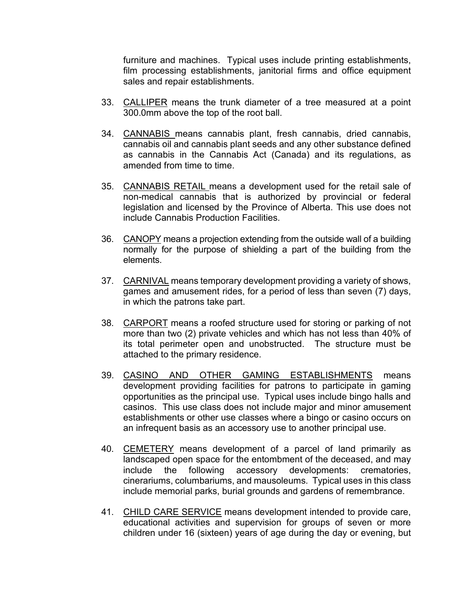furniture and machines. Typical uses include printing establishments, film processing establishments, janitorial firms and office equipment sales and repair establishments.

- 33. CALLIPER means the trunk diameter of a tree measured at a point 300.0mm above the top of the root ball.
- 34. CANNABIS means cannabis plant, fresh cannabis, dried cannabis, cannabis oil and cannabis plant seeds and any other substance defined as cannabis in the Cannabis Act (Canada) and its regulations, as amended from time to time.
- 35. CANNABIS RETAIL means a development used for the retail sale of non-medical cannabis that is authorized by provincial or federal legislation and licensed by the Province of Alberta. This use does not include Cannabis Production Facilities.
- 36. CANOPY means a projection extending from the outside wall of a building normally for the purpose of shielding a part of the building from the elements.
- 37. CARNIVAL means temporary development providing a variety of shows, games and amusement rides, for a period of less than seven (7) days, in which the patrons take part.
- 38. CARPORT means a roofed structure used for storing or parking of not more than two (2) private vehicles and which has not less than 40% of its total perimeter open and unobstructed. The structure must be attached to the primary residence.
- 39. CASINO AND OTHER GAMING ESTABLISHMENTS means development providing facilities for patrons to participate in gaming opportunities as the principal use. Typical uses include bingo halls and casinos. This use class does not include major and minor amusement establishments or other use classes where a bingo or casino occurs on an infrequent basis as an accessory use to another principal use.
- 40. CEMETERY means development of a parcel of land primarily as landscaped open space for the entombment of the deceased, and may include the following accessory developments: crematories. include the following accessory developments: crematories, cinerariums, columbariums, and mausoleums. Typical uses in this class include memorial parks, burial grounds and gardens of remembrance.
- 41. CHILD CARE SERVICE means development intended to provide care, educational activities and supervision for groups of seven or more children under 16 (sixteen) years of age during the day or evening, but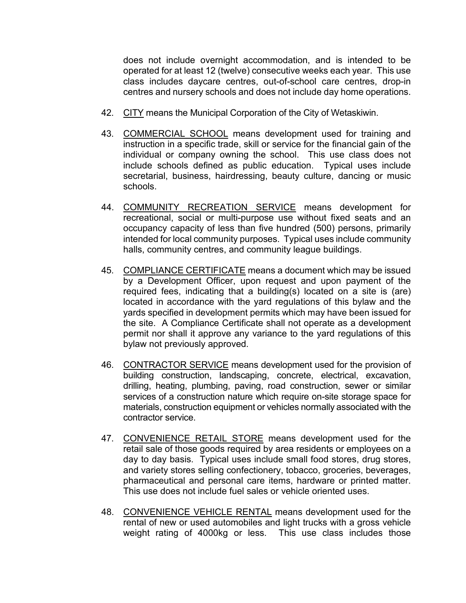does not include overnight accommodation, and is intended to be operated for at least 12 (twelve) consecutive weeks each year. This use class includes daycare centres, out-of-school care centres, drop-in centres and nursery schools and does not include day home operations.

- 42. CITY means the Municipal Corporation of the City of Wetaskiwin.
- 43. COMMERCIAL SCHOOL means development used for training and instruction in a specific trade, skill or service for the financial gain of the individual or company owning the school. This use class does not include schools defined as public education. Typical uses include secretarial, business, hairdressing, beauty culture, dancing or music schools.
- 44. COMMUNITY RECREATION SERVICE means development for recreational, social or multi-purpose use without fixed seats and an occupancy capacity of less than five hundred (500) persons, primarily intended for local community purposes. Typical uses include community halls, community centres, and community league buildings.
- 45. COMPLIANCE CERTIFICATE means a document which may be issued by a Development Officer, upon request and upon payment of the required fees, indicating that a building(s) located on a site is (are) located in accordance with the yard regulations of this bylaw and the yards specified in development permits which may have been issued for the site. A Compliance Certificate shall not operate as a development permit nor shall it approve any variance to the yard regulations of this bylaw not previously approved.
- 46. CONTRACTOR SERVICE means development used for the provision of building construction, landscaping, concrete, electrical, excavation, drilling, heating, plumbing, paving, road construction, sewer or similar services of a construction nature which require on-site storage space for materials, construction equipment or vehicles normally associated with the contractor service.
- 47. CONVENIENCE RETAIL STORE means development used for the retail sale of those goods required by area residents or employees on a day to day basis. Typical uses include small food stores, drug stores, and variety stores selling confectionery, tobacco, groceries, beverages, pharmaceutical and personal care items, hardware or printed matter. This use does not include fuel sales or vehicle oriented uses.
- 48. CONVENIENCE VEHICLE RENTAL means development used for the rental of new or used automobiles and light trucks with a gross vehicle weight rating of 4000kg or less. This use class includes those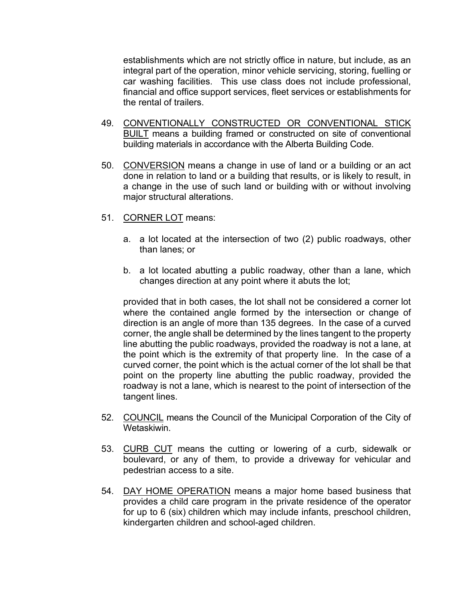establishments which are not strictly office in nature, but include, as an integral part of the operation, minor vehicle servicing, storing, fuelling or car washing facilities. This use class does not include professional, financial and office support services, fleet services or establishments for the rental of trailers.

- 49. CONVENTIONALLY CONSTRUCTED OR CONVENTIONAL STICK BUILT means a building framed or constructed on site of conventional building materials in accordance with the Alberta Building Code.
- 50. CONVERSION means a change in use of land or a building or an act done in relation to land or a building that results, or is likely to result, in a change in the use of such land or building with or without involving major structural alterations.
- 51. CORNER LOT means:
	- a. a lot located at the intersection of two (2) public roadways, other than lanes; or
	- b. a lot located abutting a public roadway, other than a lane, which changes direction at any point where it abuts the lot;

provided that in both cases, the lot shall not be considered a corner lot where the contained angle formed by the intersection or change of direction is an angle of more than 135 degrees. In the case of a curved corner, the angle shall be determined by the lines tangent to the property line abutting the public roadways, provided the roadway is not a lane, at the point which is the extremity of that property line. In the case of a curved corner, the point which is the actual corner of the lot shall be that point on the property line abutting the public roadway, provided the roadway is not a lane, which is nearest to the point of intersection of the tangent lines.

- 52. COUNCIL means the Council of the Municipal Corporation of the City of Wetaskiwin.
- 53. CURB CUT means the cutting or lowering of a curb, sidewalk or boulevard, or any of them, to provide a driveway for vehicular and pedestrian access to a site.
- 54. DAY HOME OPERATION means a major home based business that provides a child care program in the private residence of the operator for up to 6 (six) children which may include infants, preschool children, kindergarten children and school-aged children.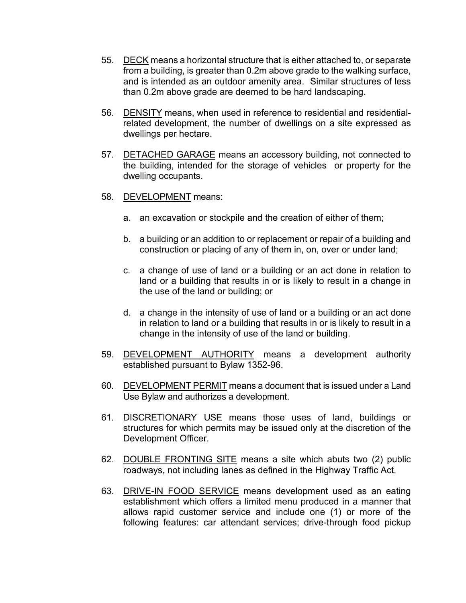- 55. DECK means a horizontal structure that is either attached to, or separate from a building, is greater than 0.2m above grade to the walking surface, and is intended as an outdoor amenity area. Similar structures of less than 0.2m above grade are deemed to be hard landscaping.
- 56. DENSITY means, when used in reference to residential and residentialrelated development, the number of dwellings on a site expressed as dwellings per hectare.
- 57. DETACHED GARAGE means an accessory building, not connected to the building, intended for the storage of vehicles or property for the dwelling occupants.
- 58. DEVELOPMENT means:
	- a. an excavation or stockpile and the creation of either of them;
	- b. a building or an addition to or replacement or repair of a building and construction or placing of any of them in, on, over or under land;
	- c. a change of use of land or a building or an act done in relation to land or a building that results in or is likely to result in a change in the use of the land or building; or
	- d. a change in the intensity of use of land or a building or an act done in relation to land or a building that results in or is likely to result in a change in the intensity of use of the land or building.
- 59. DEVELOPMENT AUTHORITY means a development authority established pursuant to Bylaw 1352-96.
- 60. DEVELOPMENT PERMIT means a document that is issued under a Land Use Bylaw and authorizes a development.
- 61. **DISCRETIONARY USE** means those uses of land, buildings or structures for which permits may be issued only at the discretion of the Development Officer.
- 62. DOUBLE FRONTING SITE means a site which abuts two (2) public roadways, not including lanes as defined in the Highway Traffic Act.
- 63. DRIVE-IN FOOD SERVICE means development used as an eating establishment which offers a limited menu produced in a manner that allows rapid customer service and include one (1) or more of the following features: car attendant services; drive-through food pickup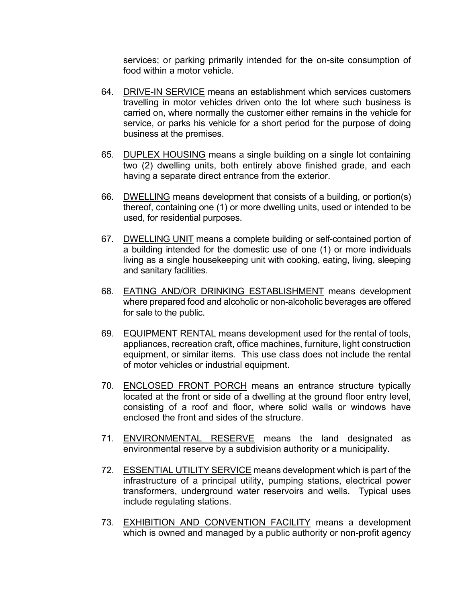services; or parking primarily intended for the on-site consumption of food within a motor vehicle.

- 64. DRIVE-IN SERVICE means an establishment which services customers travelling in motor vehicles driven onto the lot where such business is carried on, where normally the customer either remains in the vehicle for service, or parks his vehicle for a short period for the purpose of doing business at the premises.
- 65. DUPLEX HOUSING means a single building on a single lot containing two (2) dwelling units, both entirely above finished grade, and each having a separate direct entrance from the exterior.
- 66. DWELLING means development that consists of a building, or portion(s) thereof, containing one (1) or more dwelling units, used or intended to be used, for residential purposes.
- 67. DWELLING UNIT means a complete building or self-contained portion of a building intended for the domestic use of one (1) or more individuals living as a single housekeeping unit with cooking, eating, living, sleeping and sanitary facilities.
- 68. EATING AND/OR DRINKING ESTABLISHMENT means development where prepared food and alcoholic or non-alcoholic beverages are offered for sale to the public.
- 69. EQUIPMENT RENTAL means development used for the rental of tools, appliances, recreation craft, office machines, furniture, light construction equipment, or similar items. This use class does not include the rental of motor vehicles or industrial equipment.
- 70. ENCLOSED FRONT PORCH means an entrance structure typically located at the front or side of a dwelling at the ground floor entry level, consisting of a roof and floor, where solid walls or windows have enclosed the front and sides of the structure.
- 71. **ENVIRONMENTAL RESERVE** means the land designated as environmental reserve by a subdivision authority or a municipality.
- 72. ESSENTIAL UTILITY SERVICE means development which is part of the infrastructure of a principal utility, pumping stations, electrical power transformers, underground water reservoirs and wells. Typical uses include regulating stations.
- 73. EXHIBITION AND CONVENTION FACILITY means a development which is owned and managed by a public authority or non-profit agency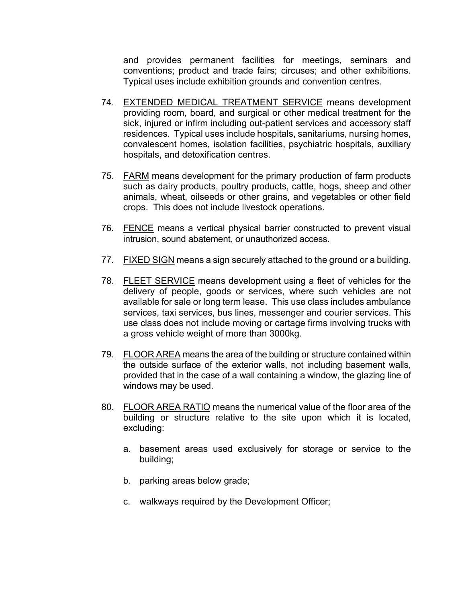and provides permanent facilities for meetings, seminars and conventions; product and trade fairs; circuses; and other exhibitions. Typical uses include exhibition grounds and convention centres.

- 74. EXTENDED MEDICAL TREATMENT SERVICE means development providing room, board, and surgical or other medical treatment for the sick, injured or infirm including out-patient services and accessory staff residences. Typical uses include hospitals, sanitariums, nursing homes, convalescent homes, isolation facilities, psychiatric hospitals, auxiliary hospitals, and detoxification centres.
- 75. FARM means development for the primary production of farm products such as dairy products, poultry products, cattle, hogs, sheep and other animals, wheat, oilseeds or other grains, and vegetables or other field crops. This does not include livestock operations.
- 76. FENCE means a vertical physical barrier constructed to prevent visual intrusion, sound abatement, or unauthorized access.
- 77. FIXED SIGN means a sign securely attached to the ground or a building.
- 78. FLEET SERVICE means development using a fleet of vehicles for the delivery of people, goods or services, where such vehicles are not available for sale or long term lease. This use class includes ambulance services, taxi services, bus lines, messenger and courier services. This use class does not include moving or cartage firms involving trucks with a gross vehicle weight of more than 3000kg.
- 79. FLOOR AREA means the area of the building or structure contained within the outside surface of the exterior walls, not including basement walls, provided that in the case of a wall containing a window, the glazing line of windows may be used.
- 80. FLOOR AREA RATIO means the numerical value of the floor area of the building or structure relative to the site upon which it is located, excluding:
	- a. basement areas used exclusively for storage or service to the building;
	- b. parking areas below grade;
	- c. walkways required by the Development Officer;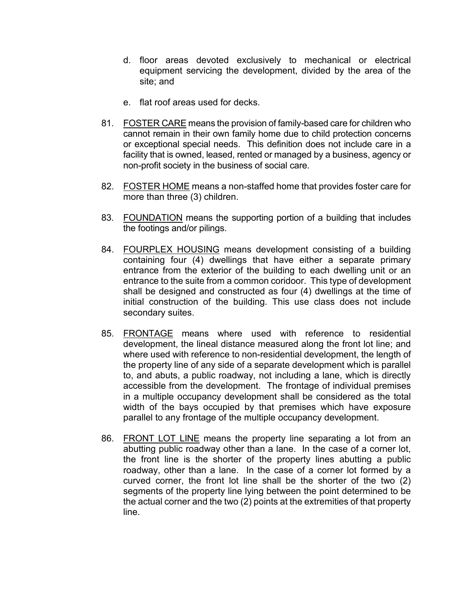- d. floor areas devoted exclusively to mechanical or electrical equipment servicing the development, divided by the area of the site; and
- e. flat roof areas used for decks.
- 81. FOSTER CARE means the provision of family-based care for children who cannot remain in their own family home due to child protection concerns or exceptional special needs. This definition does not include care in a facility that is owned, leased, rented or managed by a business, agency or non-profit society in the business of social care.
- 82. FOSTER HOME means a non-staffed home that provides foster care for more than three (3) children.
- 83. FOUNDATION means the supporting portion of a building that includes the footings and/or pilings.
- 84. FOURPLEX HOUSING means development consisting of a building containing four (4) dwellings that have either a separate primary entrance from the exterior of the building to each dwelling unit or an entrance to the suite from a common coridoor. This type of development shall be designed and constructed as four (4) dwellings at the time of initial construction of the building. This use class does not include secondary suites.
- 85. FRONTAGE means where used with reference to residential development, the lineal distance measured along the front lot line; and where used with reference to non-residential development, the length of the property line of any side of a separate development which is parallel to, and abuts, a public roadway, not including a lane, which is directly accessible from the development. The frontage of individual premises in a multiple occupancy development shall be considered as the total width of the bays occupied by that premises which have exposure parallel to any frontage of the multiple occupancy development.
- 86. FRONT LOT LINE means the property line separating a lot from an abutting public roadway other than a lane. In the case of a corner lot, the front line is the shorter of the property lines abutting a public roadway, other than a lane. In the case of a corner lot formed by a curved corner, the front lot line shall be the shorter of the two (2) segments of the property line lying between the point determined to be the actual corner and the two (2) points at the extremities of that property line.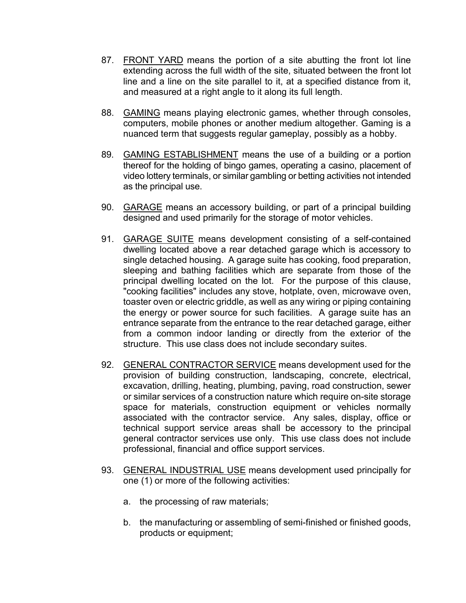- 87. FRONT YARD means the portion of a site abutting the front lot line extending across the full width of the site, situated between the front lot line and a line on the site parallel to it, at a specified distance from it, and measured at a right angle to it along its full length.
- 88. GAMING means playing electronic games, whether through consoles, computers, mobile phones or another medium altogether. Gaming is a nuanced term that suggests regular gameplay, possibly as a hobby.
- 89. GAMING ESTABLISHMENT means the use of a building or a portion thereof for the holding of bingo games, operating a casino, placement of video lottery terminals, or similar gambling or betting activities not intended as the principal use.
- 90. GARAGE means an accessory building, or part of a principal building designed and used primarily for the storage of motor vehicles.
- 91. GARAGE SUITE means development consisting of a self-contained dwelling located above a rear detached garage which is accessory to single detached housing. A garage suite has cooking, food preparation, sleeping and bathing facilities which are separate from those of the principal dwelling located on the lot. For the purpose of this clause, "cooking facilities" includes any stove, hotplate, oven, microwave oven, toaster oven or electric griddle, as well as any wiring or piping containing the energy or power source for such facilities. A garage suite has an entrance separate from the entrance to the rear detached garage, either from a common indoor landing or directly from the exterior of the structure. This use class does not include secondary suites.
- 92. GENERAL CONTRACTOR SERVICE means development used for the provision of building construction, landscaping, concrete, electrical, excavation, drilling, heating, plumbing, paving, road construction, sewer or similar services of a construction nature which require on-site storage space for materials, construction equipment or vehicles normally associated with the contractor service. Any sales, display, office or technical support service areas shall be accessory to the principal general contractor services use only. This use class does not include professional, financial and office support services.
- 93. GENERAL INDUSTRIAL USE means development used principally for one (1) or more of the following activities:
	- a. the processing of raw materials;
	- b. the manufacturing or assembling of semi-finished or finished goods, products or equipment;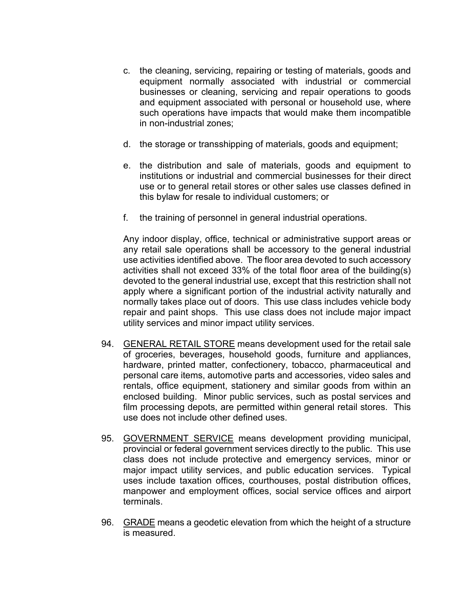- c. the cleaning, servicing, repairing or testing of materials, goods and equipment normally associated with industrial or commercial businesses or cleaning, servicing and repair operations to goods and equipment associated with personal or household use, where such operations have impacts that would make them incompatible in non-industrial zones;
- d. the storage or transshipping of materials, goods and equipment;
- e. the distribution and sale of materials, goods and equipment to institutions or industrial and commercial businesses for their direct use or to general retail stores or other sales use classes defined in this bylaw for resale to individual customers; or
- f. the training of personnel in general industrial operations.

Any indoor display, office, technical or administrative support areas or any retail sale operations shall be accessory to the general industrial use activities identified above. The floor area devoted to such accessory activities shall not exceed 33% of the total floor area of the building(s) devoted to the general industrial use, except that this restriction shall not apply where a significant portion of the industrial activity naturally and normally takes place out of doors. This use class includes vehicle body repair and paint shops. This use class does not include major impact utility services and minor impact utility services.

- 94. GENERAL RETAIL STORE means development used for the retail sale of groceries, beverages, household goods, furniture and appliances, hardware, printed matter, confectionery, tobacco, pharmaceutical and personal care items, automotive parts and accessories, video sales and rentals, office equipment, stationery and similar goods from within an enclosed building. Minor public services, such as postal services and film processing depots, are permitted within general retail stores. This use does not include other defined uses.
- 95. GOVERNMENT SERVICE means development providing municipal, provincial or federal government services directly to the public. This use class does not include protective and emergency services, minor or major impact utility services, and public education services. Typical uses include taxation offices, courthouses, postal distribution offices, manpower and employment offices, social service offices and airport terminals.
- 96. GRADE means a geodetic elevation from which the height of a structure is measured.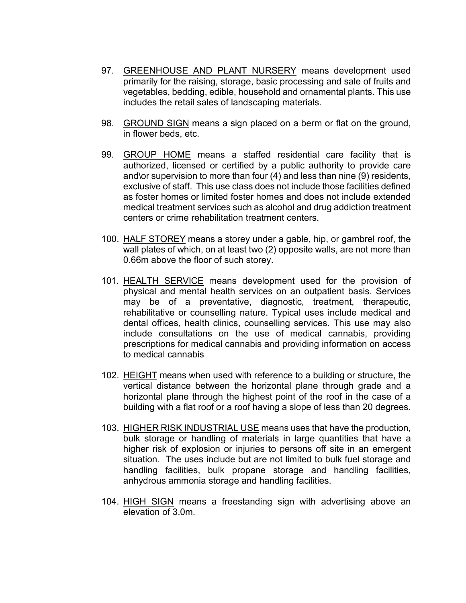- 97. GREENHOUSE AND PLANT NURSERY means development used primarily for the raising, storage, basic processing and sale of fruits and vegetables, bedding, edible, household and ornamental plants. This use includes the retail sales of landscaping materials.
- 98. GROUND SIGN means a sign placed on a berm or flat on the ground, in flower beds, etc.
- 99. GROUP HOME means a staffed residential care facility that is authorized, licensed or certified by a public authority to provide care and\or supervision to more than four (4) and less than nine (9) residents, exclusive of staff. This use class does not include those facilities defined as foster homes or limited foster homes and does not include extended medical treatment services such as alcohol and drug addiction treatment centers or crime rehabilitation treatment centers.
- 100. HALF STOREY means a storey under a gable, hip, or gambrel roof, the wall plates of which, on at least two (2) opposite walls, are not more than 0.66m above the floor of such storey.
- 101. HEALTH SERVICE means development used for the provision of physical and mental health services on an outpatient basis. Services may be of a preventative, diagnostic, treatment, therapeutic, rehabilitative or counselling nature. Typical uses include medical and dental offices, health clinics, counselling services. This use may also include consultations on the use of medical cannabis, providing prescriptions for medical cannabis and providing information on access to medical cannabis
- 102. HEIGHT means when used with reference to a building or structure, the vertical distance between the horizontal plane through grade and a horizontal plane through the highest point of the roof in the case of a building with a flat roof or a roof having a slope of less than 20 degrees.
- 103. HIGHER RISK INDUSTRIAL USE means uses that have the production, bulk storage or handling of materials in large quantities that have a higher risk of explosion or injuries to persons off site in an emergent situation. The uses include but are not limited to bulk fuel storage and handling facilities, bulk propane storage and handling facilities, anhydrous ammonia storage and handling facilities.
- 104. HIGH SIGN means a freestanding sign with advertising above an elevation of 3.0m.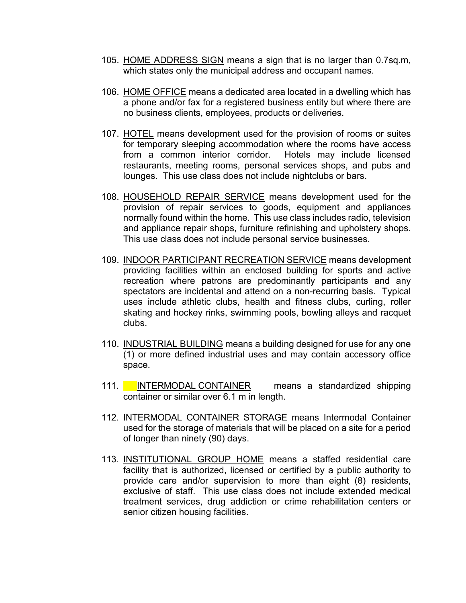- 105. HOME ADDRESS SIGN means a sign that is no larger than 0.7sq.m, which states only the municipal address and occupant names.
- 106. HOME OFFICE means a dedicated area located in a dwelling which has a phone and/or fax for a registered business entity but where there are no business clients, employees, products or deliveries.
- 107. HOTEL means development used for the provision of rooms or suites for temporary sleeping accommodation where the rooms have access from a common interior corridor. Hotels may include licensed restaurants, meeting rooms, personal services shops, and pubs and lounges. This use class does not include nightclubs or bars.
- 108. HOUSEHOLD REPAIR SERVICE means development used for the provision of repair services to goods, equipment and appliances normally found within the home. This use class includes radio, television and appliance repair shops, furniture refinishing and upholstery shops. This use class does not include personal service businesses.
- 109. INDOOR PARTICIPANT RECREATION SERVICE means development providing facilities within an enclosed building for sports and active recreation where patrons are predominantly participants and any spectators are incidental and attend on a non-recurring basis. Typical uses include athletic clubs, health and fitness clubs, curling, roller skating and hockey rinks, swimming pools, bowling alleys and racquet clubs.
- 110. INDUSTRIAL BUILDING means a building designed for use for any one (1) or more defined industrial uses and may contain accessory office space.
- 111. INTERMODAL CONTAINER means a standardized shipping container or similar over 6.1 m in length.
- 112. INTERMODAL CONTAINER STORAGE means Intermodal Container used for the storage of materials that will be placed on a site for a period of longer than ninety (90) days.
- 113. INSTITUTIONAL GROUP HOME means a staffed residential care facility that is authorized, licensed or certified by a public authority to provide care and/or supervision to more than eight (8) residents, exclusive of staff. This use class does not include extended medical treatment services, drug addiction or crime rehabilitation centers or senior citizen housing facilities.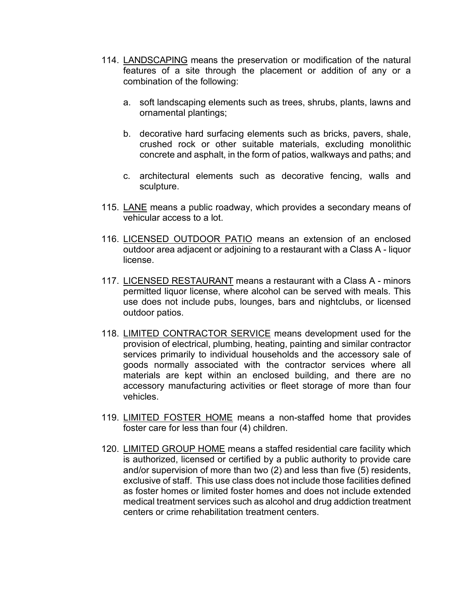- 114. LANDSCAPING means the preservation or modification of the natural features of a site through the placement or addition of any or a combination of the following:
	- a. soft landscaping elements such as trees, shrubs, plants, lawns and ornamental plantings;
	- b. decorative hard surfacing elements such as bricks, pavers, shale, crushed rock or other suitable materials, excluding monolithic concrete and asphalt, in the form of patios, walkways and paths; and
	- c. architectural elements such as decorative fencing, walls and sculpture.
- 115. LANE means a public roadway, which provides a secondary means of vehicular access to a lot.
- 116. LICENSED OUTDOOR PATIO means an extension of an enclosed outdoor area adjacent or adjoining to a restaurant with a Class A - liquor license.
- 117. LICENSED RESTAURANT means a restaurant with a Class A minors permitted liquor license, where alcohol can be served with meals. This use does not include pubs, lounges, bars and nightclubs, or licensed outdoor patios.
- 118. LIMITED CONTRACTOR SERVICE means development used for the provision of electrical, plumbing, heating, painting and similar contractor services primarily to individual households and the accessory sale of goods normally associated with the contractor services where all materials are kept within an enclosed building, and there are no accessory manufacturing activities or fleet storage of more than four vehicles.
- 119. LIMITED FOSTER HOME means a non-staffed home that provides foster care for less than four (4) children.
- 120. LIMITED GROUP HOME means a staffed residential care facility which is authorized, licensed or certified by a public authority to provide care and/or supervision of more than two (2) and less than five (5) residents, exclusive of staff. This use class does not include those facilities defined as foster homes or limited foster homes and does not include extended medical treatment services such as alcohol and drug addiction treatment centers or crime rehabilitation treatment centers.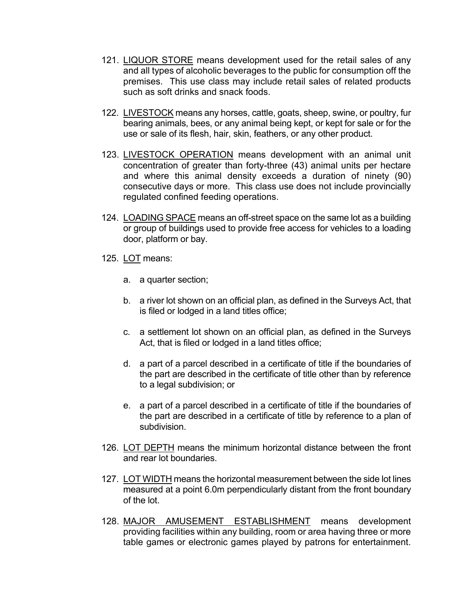- 121. LIQUOR STORE means development used for the retail sales of any and all types of alcoholic beverages to the public for consumption off the premises. This use class may include retail sales of related products such as soft drinks and snack foods.
- 122. LIVESTOCK means any horses, cattle, goats, sheep, swine, or poultry, fur bearing animals, bees, or any animal being kept, or kept for sale or for the use or sale of its flesh, hair, skin, feathers, or any other product.
- 123. LIVESTOCK OPERATION means development with an animal unit concentration of greater than forty-three (43) animal units per hectare and where this animal density exceeds a duration of ninety (90) consecutive days or more. This class use does not include provincially regulated confined feeding operations.
- 124. LOADING SPACE means an off-street space on the same lot as a building or group of buildings used to provide free access for vehicles to a loading door, platform or bay.
- 125. LOT means:
	- a. a quarter section;
	- b. a river lot shown on an official plan, as defined in the Surveys Act, that is filed or lodged in a land titles office;
	- c. a settlement lot shown on an official plan, as defined in the Surveys Act, that is filed or lodged in a land titles office;
	- d. a part of a parcel described in a certificate of title if the boundaries of the part are described in the certificate of title other than by reference to a legal subdivision; or
	- e. a part of a parcel described in a certificate of title if the boundaries of the part are described in a certificate of title by reference to a plan of subdivision.
- 126. LOT DEPTH means the minimum horizontal distance between the front and rear lot boundaries.
- 127. LOT WIDTH means the horizontal measurement between the side lot lines measured at a point 6.0m perpendicularly distant from the front boundary of the lot.
- 128. MAJOR AMUSEMENT ESTABLISHMENT means development providing facilities within any building, room or area having three or more table games or electronic games played by patrons for entertainment.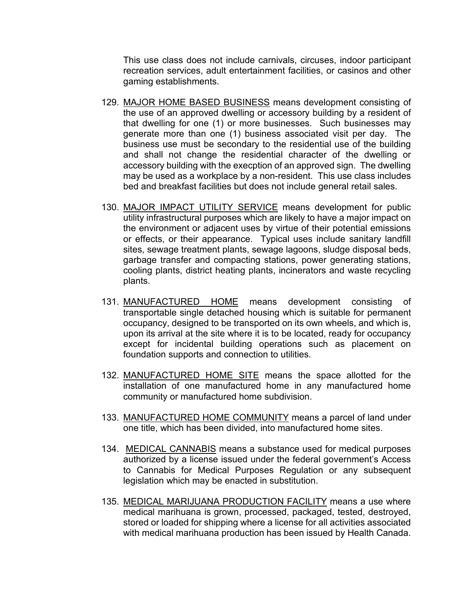This use class does not include carnivals, circuses, indoor participant recreation services, adult entertainment facilities, or casinos and other gaming establishments.

- 129. MAJOR HOME BASED BUSINESS means development consisting of the use of an approved dwelling or accessory building by a resident of that dwelling for one (1) or more businesses. Such businesses may generate more than one (1) business associated visit per day. The business use must be secondary to the residential use of the building and shall not change the residential character of the dwelling or accessory building with the execption of an approved sign. The dwelling may be used as a workplace by a non-resident. This use class includes bed and breakfast facilities but does not include general retail sales.
- 130. MAJOR IMPACT UTILITY SERVICE means development for public utility infrastructural purposes which are likely to have a major impact on the environment or adjacent uses by virtue of their potential emissions or effects, or their appearance. Typical uses include sanitary landfill sites, sewage treatment plants, sewage lagoons, sludge disposal beds, garbage transfer and compacting stations, power generating stations, cooling plants, district heating plants, incinerators and waste recycling plants.
- 131. MANUFACTURED HOME means development consisting of transportable single detached housing which is suitable for permanent occupancy, designed to be transported on its own wheels, and which is, upon its arrival at the site where it is to be located, ready for occupancy except for incidental building operations such as placement on foundation supports and connection to utilities.
- 132. MANUFACTURED HOME SITE means the space allotted for the installation of one manufactured home in any manufactured home community or manufactured home subdivision.
- 133. MANUFACTURED HOME COMMUNITY means a parcel of land under one title, which has been divided, into manufactured home sites.
- 134. MEDICAL CANNABIS means a substance used for medical purposes authorized by a license issued under the federal government's Access to Cannabis for Medical Purposes Regulation or any subsequent legislation which may be enacted in substitution.
- 135. MEDICAL MARIJUANA PRODUCTION FACILITY means a use where medical marihuana is grown, processed, packaged, tested, destroyed, stored or loaded for shipping where a license for all activities associated with medical marihuana production has been issued by Health Canada.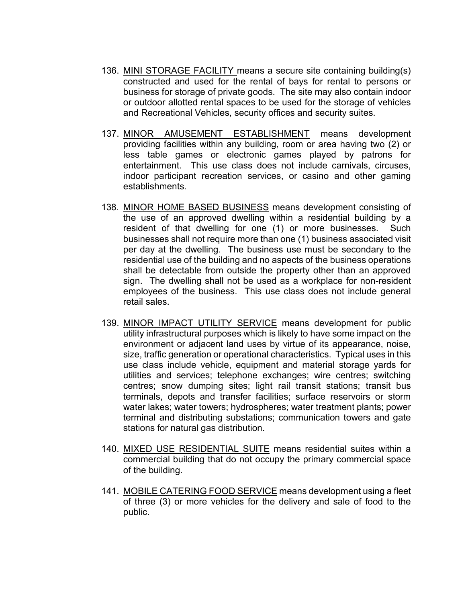- 136. MINI STORAGE FACILITY means a secure site containing building(s) constructed and used for the rental of bays for rental to persons or business for storage of private goods. The site may also contain indoor or outdoor allotted rental spaces to be used for the storage of vehicles and Recreational Vehicles, security offices and security suites.
- 137. MINOR AMUSEMENT ESTABLISHMENT means development providing facilities within any building, room or area having two (2) or less table games or electronic games played by patrons for entertainment. This use class does not include carnivals, circuses, indoor participant recreation services, or casino and other gaming establishments.
- 138. MINOR HOME BASED BUSINESS means development consisting of the use of an approved dwelling within a residential building by a resident of that dwelling for one (1) or more businesses. Such businesses shall not require more than one (1) business associated visit per day at the dwelling. The business use must be secondary to the residential use of the building and no aspects of the business operations shall be detectable from outside the property other than an approved sign. The dwelling shall not be used as a workplace for non-resident employees of the business. This use class does not include general retail sales.
- 139. MINOR IMPACT UTILITY SERVICE means development for public utility infrastructural purposes which is likely to have some impact on the environment or adjacent land uses by virtue of its appearance, noise, size, traffic generation or operational characteristics. Typical uses in this use class include vehicle, equipment and material storage yards for utilities and services; telephone exchanges; wire centres; switching centres; snow dumping sites; light rail transit stations; transit bus terminals, depots and transfer facilities; surface reservoirs or storm water lakes; water towers; hydrospheres; water treatment plants; power terminal and distributing substations; communication towers and gate stations for natural gas distribution.
- 140. MIXED USE RESIDENTIAL SUITE means residential suites within a commercial building that do not occupy the primary commercial space of the building.
- 141. MOBILE CATERING FOOD SERVICE means development using a fleet of three (3) or more vehicles for the delivery and sale of food to the public.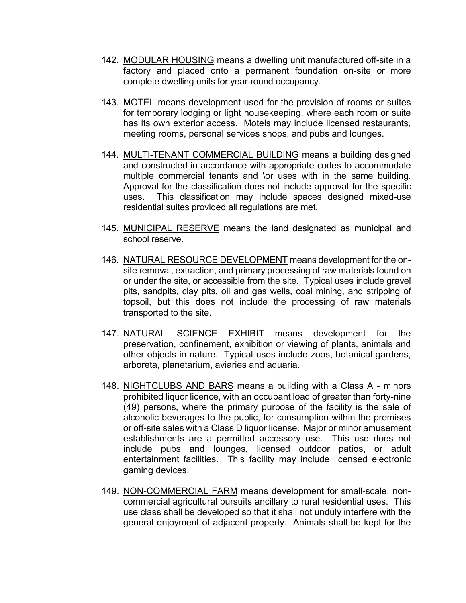- 142. MODULAR HOUSING means a dwelling unit manufactured off-site in a factory and placed onto a permanent foundation on-site or more complete dwelling units for year-round occupancy.
- 143. MOTEL means development used for the provision of rooms or suites for temporary lodging or light housekeeping, where each room or suite has its own exterior access. Motels may include licensed restaurants, meeting rooms, personal services shops, and pubs and lounges.
- 144. MULTI-TENANT COMMERCIAL BUILDING means a building designed and constructed in accordance with appropriate codes to accommodate multiple commercial tenants and \or uses with in the same building. Approval for the classification does not include approval for the specific uses. This classification may include spaces designed mixed-use residential suites provided all regulations are met.
- 145. MUNICIPAL RESERVE means the land designated as municipal and school reserve.
- 146. NATURAL RESOURCE DEVELOPMENT means development for the onsite removal, extraction, and primary processing of raw materials found on or under the site, or accessible from the site. Typical uses include gravel pits, sandpits, clay pits, oil and gas wells, coal mining, and stripping of topsoil, but this does not include the processing of raw materials transported to the site.
- 147. NATURAL SCIENCE EXHIBIT means development for the preservation, confinement, exhibition or viewing of plants, animals and other objects in nature. Typical uses include zoos, botanical gardens, arboreta, planetarium, aviaries and aquaria.
- 148. NIGHTCLUBS AND BARS means a building with a Class A minors prohibited liquor licence, with an occupant load of greater than forty-nine (49) persons, where the primary purpose of the facility is the sale of alcoholic beverages to the public, for consumption within the premises or off-site sales with a Class D liquor license. Major or minor amusement establishments are a permitted accessory use. This use does not include pubs and lounges, licensed outdoor patios, or adult entertainment facilities. This facility may include licensed electronic gaming devices.
- 149. NON-COMMERCIAL FARM means development for small-scale, noncommercial agricultural pursuits ancillary to rural residential uses. This use class shall be developed so that it shall not unduly interfere with the general enjoyment of adjacent property. Animals shall be kept for the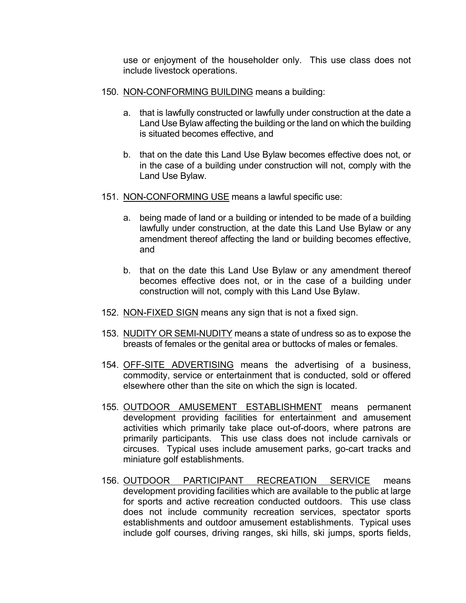use or enjoyment of the householder only. This use class does not include livestock operations.

- 150. NON-CONFORMING BUILDING means a building:
	- a. that is lawfully constructed or lawfully under construction at the date a Land Use Bylaw affecting the building or the land on which the building is situated becomes effective, and
	- b. that on the date this Land Use Bylaw becomes effective does not, or in the case of a building under construction will not, comply with the Land Use Bylaw.
- 151. NON-CONFORMING USE means a lawful specific use:
	- a. being made of land or a building or intended to be made of a building lawfully under construction, at the date this Land Use Bylaw or any amendment thereof affecting the land or building becomes effective, and
	- b. that on the date this Land Use Bylaw or any amendment thereof becomes effective does not, or in the case of a building under construction will not, comply with this Land Use Bylaw.
- 152. NON-FIXED SIGN means any sign that is not a fixed sign.
- 153. NUDITY OR SEMI-NUDITY means a state of undress so as to expose the breasts of females or the genital area or buttocks of males or females.
- 154. OFF-SITE ADVERTISING means the advertising of a business, commodity, service or entertainment that is conducted, sold or offered elsewhere other than the site on which the sign is located.
- 155. OUTDOOR AMUSEMENT ESTABLISHMENT means permanent development providing facilities for entertainment and amusement activities which primarily take place out-of-doors, where patrons are primarily participants. This use class does not include carnivals or circuses. Typical uses include amusement parks, go-cart tracks and miniature golf establishments.
- 156. OUTDOOR PARTICIPANT RECREATION SERVICE means development providing facilities which are available to the public at large for sports and active recreation conducted outdoors. This use class does not include community recreation services, spectator sports establishments and outdoor amusement establishments. Typical uses include golf courses, driving ranges, ski hills, ski jumps, sports fields,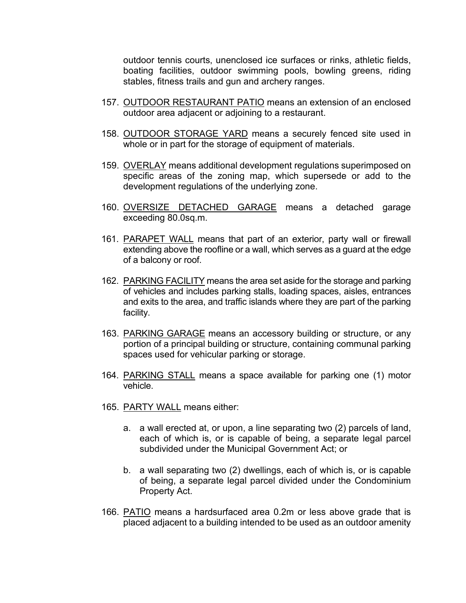outdoor tennis courts, unenclosed ice surfaces or rinks, athletic fields, boating facilities, outdoor swimming pools, bowling greens, riding stables, fitness trails and gun and archery ranges.

- 157. OUTDOOR RESTAURANT PATIO means an extension of an enclosed outdoor area adjacent or adjoining to a restaurant.
- 158. OUTDOOR STORAGE YARD means a securely fenced site used in whole or in part for the storage of equipment of materials.
- 159. OVERLAY means additional development regulations superimposed on specific areas of the zoning map, which supersede or add to the development regulations of the underlying zone.
- 160. OVERSIZE DETACHED GARAGE means a detached garage exceeding 80.0sq.m.
- 161. PARAPET WALL means that part of an exterior, party wall or firewall extending above the roofline or a wall, which serves as a guard at the edge of a balcony or roof.
- 162. PARKING FACILITY means the area set aside for the storage and parking of vehicles and includes parking stalls, loading spaces, aisles, entrances and exits to the area, and traffic islands where they are part of the parking facility.
- 163. PARKING GARAGE means an accessory building or structure, or any portion of a principal building or structure, containing communal parking spaces used for vehicular parking or storage.
- 164. PARKING STALL means a space available for parking one (1) motor vehicle.
- 165. PARTY WALL means either:
	- a. a wall erected at, or upon, a line separating two (2) parcels of land, each of which is, or is capable of being, a separate legal parcel subdivided under the Municipal Government Act; or
	- b. a wall separating two (2) dwellings, each of which is, or is capable of being, a separate legal parcel divided under the Condominium Property Act.
- 166. PATIO means a hardsurfaced area 0.2m or less above grade that is placed adjacent to a building intended to be used as an outdoor amenity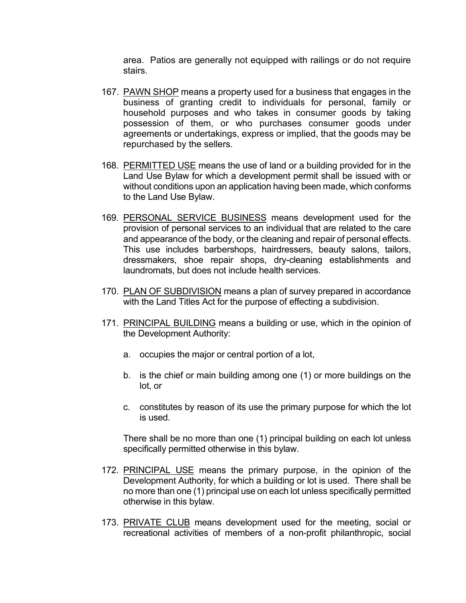area. Patios are generally not equipped with railings or do not require stairs.

- 167. PAWN SHOP means a property used for a business that engages in the business of granting credit to individuals for personal, family or household purposes and who takes in consumer goods by taking possession of them, or who purchases consumer goods under agreements or undertakings, express or implied, that the goods may be repurchased by the sellers.
- 168. PERMITTED USE means the use of land or a building provided for in the Land Use Bylaw for which a development permit shall be issued with or without conditions upon an application having been made, which conforms to the Land Use Bylaw.
- 169. PERSONAL SERVICE BUSINESS means development used for the provision of personal services to an individual that are related to the care and appearance of the body, or the cleaning and repair of personal effects. This use includes barbershops, hairdressers, beauty salons, tailors, dressmakers, shoe repair shops, dry-cleaning establishments and laundromats, but does not include health services.
- 170. PLAN OF SUBDIVISION means a plan of survey prepared in accordance with the Land Titles Act for the purpose of effecting a subdivision.
- 171. PRINCIPAL BUILDING means a building or use, which in the opinion of the Development Authority:
	- a. occupies the major or central portion of a lot,
	- b. is the chief or main building among one (1) or more buildings on the lot, or
	- c. constitutes by reason of its use the primary purpose for which the lot is used.

There shall be no more than one (1) principal building on each lot unless specifically permitted otherwise in this bylaw.

- 172. PRINCIPAL USE means the primary purpose, in the opinion of the Development Authority, for which a building or lot is used. There shall be no more than one (1) principal use on each lot unless specifically permitted otherwise in this bylaw.
- 173. PRIVATE CLUB means development used for the meeting, social or recreational activities of members of a non-profit philanthropic, social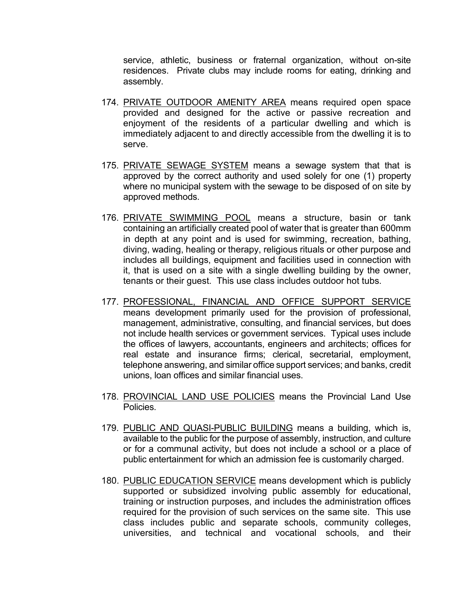service, athletic, business or fraternal organization, without on-site residences. Private clubs may include rooms for eating, drinking and assembly.

- 174. PRIVATE OUTDOOR AMENITY AREA means required open space provided and designed for the active or passive recreation and enjoyment of the residents of a particular dwelling and which is immediately adjacent to and directly accessible from the dwelling it is to serve.
- 175. PRIVATE SEWAGE SYSTEM means a sewage system that that is approved by the correct authority and used solely for one (1) property where no municipal system with the sewage to be disposed of on site by approved methods.
- 176. PRIVATE SWIMMING POOL means a structure, basin or tank containing an artificially created pool of water that is greater than 600mm in depth at any point and is used for swimming, recreation, bathing, diving, wading, healing or therapy, religious rituals or other purpose and includes all buildings, equipment and facilities used in connection with it, that is used on a site with a single dwelling building by the owner, tenants or their guest. This use class includes outdoor hot tubs.
- 177. PROFESSIONAL, FINANCIAL AND OFFICE SUPPORT SERVICE means development primarily used for the provision of professional, management, administrative, consulting, and financial services, but does not include health services or government services. Typical uses include the offices of lawyers, accountants, engineers and architects; offices for real estate and insurance firms; clerical, secretarial, employment, telephone answering, and similar office support services; and banks, credit unions, loan offices and similar financial uses.
- 178. PROVINCIAL LAND USE POLICIES means the Provincial Land Use Policies.
- 179. PUBLIC AND QUASI-PUBLIC BUILDING means a building, which is, available to the public for the purpose of assembly, instruction, and culture or for a communal activity, but does not include a school or a place of public entertainment for which an admission fee is customarily charged.
- 180. PUBLIC EDUCATION SERVICE means development which is publicly supported or subsidized involving public assembly for educational, training or instruction purposes, and includes the administration offices required for the provision of such services on the same site. This use class includes public and separate schools, community colleges, universities, and technical and vocational schools, and their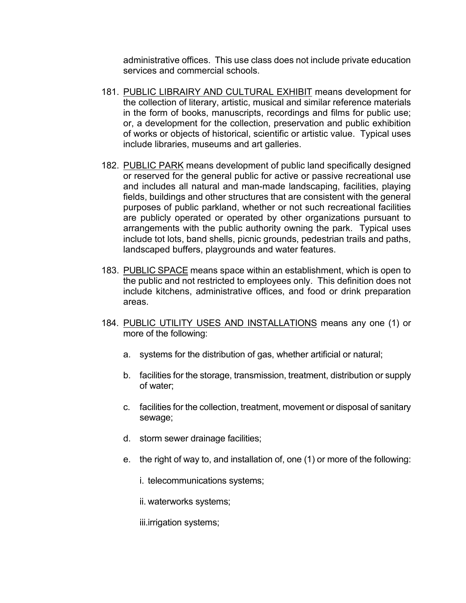administrative offices. This use class does not include private education services and commercial schools.

- 181. PUBLIC LIBRAIRY AND CULTURAL EXHIBIT means development for the collection of literary, artistic, musical and similar reference materials in the form of books, manuscripts, recordings and films for public use; or, a development for the collection, preservation and public exhibition of works or objects of historical, scientific or artistic value. Typical uses include libraries, museums and art galleries.
- 182. PUBLIC PARK means development of public land specifically designed or reserved for the general public for active or passive recreational use and includes all natural and man-made landscaping, facilities, playing fields, buildings and other structures that are consistent with the general purposes of public parkland, whether or not such recreational facilities are publicly operated or operated by other organizations pursuant to arrangements with the public authority owning the park. Typical uses include tot lots, band shells, picnic grounds, pedestrian trails and paths, landscaped buffers, playgrounds and water features.
- 183. PUBLIC SPACE means space within an establishment, which is open to the public and not restricted to employees only. This definition does not include kitchens, administrative offices, and food or drink preparation areas.
- 184. PUBLIC UTILITY USES AND INSTALLATIONS means any one (1) or more of the following:
	- a. systems for the distribution of gas, whether artificial or natural;
	- b. facilities for the storage, transmission, treatment, distribution or supply of water;
	- c. facilities for the collection, treatment, movement or disposal of sanitary sewage;
	- d. storm sewer drainage facilities;
	- e. the right of way to, and installation of, one (1) or more of the following:
		- i. telecommunications systems;
		- ii. waterworks systems;

iii.irrigation systems;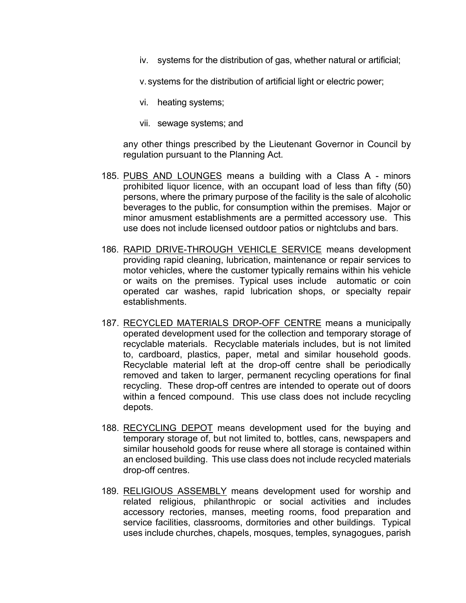iv. systems for the distribution of gas, whether natural or artificial;

v. systems for the distribution of artificial light or electric power;

- vi. heating systems;
- vii. sewage systems; and

any other things prescribed by the Lieutenant Governor in Council by regulation pursuant to the Planning Act.

- 185. PUBS AND LOUNGES means a building with a Class A minors prohibited liquor licence, with an occupant load of less than fifty (50) persons, where the primary purpose of the facility is the sale of alcoholic beverages to the public, for consumption within the premises. Major or minor amusment establishments are a permitted accessory use. This use does not include licensed outdoor patios or nightclubs and bars.
- 186. RAPID DRIVE-THROUGH VEHICLE SERVICE means development providing rapid cleaning, lubrication, maintenance or repair services to motor vehicles, where the customer typically remains within his vehicle or waits on the premises. Typical uses include automatic or coin operated car washes, rapid lubrication shops, or specialty repair establishments.
- 187. RECYCLED MATERIALS DROP-OFF CENTRE means a municipally operated development used for the collection and temporary storage of recyclable materials. Recyclable materials includes, but is not limited to, cardboard, plastics, paper, metal and similar household goods. Recyclable material left at the drop-off centre shall be periodically removed and taken to larger, permanent recycling operations for final recycling. These drop-off centres are intended to operate out of doors within a fenced compound. This use class does not include recycling depots.
- 188. RECYCLING DEPOT means development used for the buying and temporary storage of, but not limited to, bottles, cans, newspapers and similar household goods for reuse where all storage is contained within an enclosed building. This use class does not include recycled materials drop-off centres.
- 189. RELIGIOUS ASSEMBLY means development used for worship and related religious, philanthropic or social activities and includes accessory rectories, manses, meeting rooms, food preparation and service facilities, classrooms, dormitories and other buildings. Typical uses include churches, chapels, mosques, temples, synagogues, parish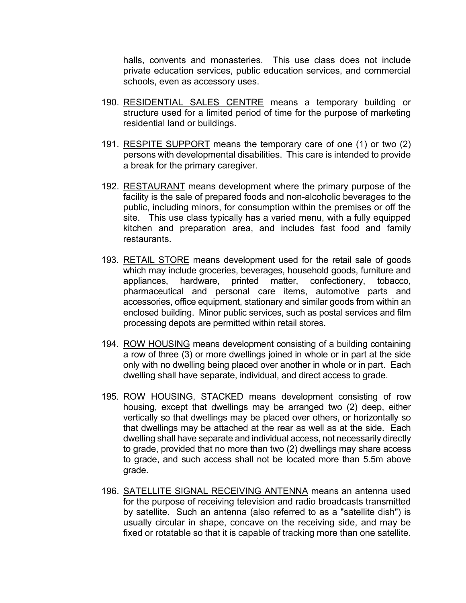halls, convents and monasteries. This use class does not include private education services, public education services, and commercial schools, even as accessory uses.

- 190. RESIDENTIAL SALES CENTRE means a temporary building or structure used for a limited period of time for the purpose of marketing residential land or buildings.
- 191. RESPITE SUPPORT means the temporary care of one (1) or two (2) persons with developmental disabilities. This care is intended to provide a break for the primary caregiver.
- 192. RESTAURANT means development where the primary purpose of the facility is the sale of prepared foods and non-alcoholic beverages to the public, including minors, for consumption within the premises or off the site. This use class typically has a varied menu, with a fully equipped kitchen and preparation area, and includes fast food and family restaurants.
- 193. RETAIL STORE means development used for the retail sale of goods which may include groceries, beverages, household goods, furniture and appliances, hardware, printed matter, confectionery, tobacco, pharmaceutical and personal care items, automotive parts and accessories, office equipment, stationary and similar goods from within an enclosed building. Minor public services, such as postal services and film processing depots are permitted within retail stores.
- 194. ROW HOUSING means development consisting of a building containing a row of three (3) or more dwellings joined in whole or in part at the side only with no dwelling being placed over another in whole or in part. Each dwelling shall have separate, individual, and direct access to grade.
- 195. ROW HOUSING, STACKED means development consisting of row housing, except that dwellings may be arranged two (2) deep, either vertically so that dwellings may be placed over others, or horizontally so that dwellings may be attached at the rear as well as at the side. Each dwelling shall have separate and individual access, not necessarily directly to grade, provided that no more than two (2) dwellings may share access to grade, and such access shall not be located more than 5.5m above grade.
- 196. SATELLITE SIGNAL RECEIVING ANTENNA means an antenna used for the purpose of receiving television and radio broadcasts transmitted by satellite. Such an antenna (also referred to as a "satellite dish") is usually circular in shape, concave on the receiving side, and may be fixed or rotatable so that it is capable of tracking more than one satellite.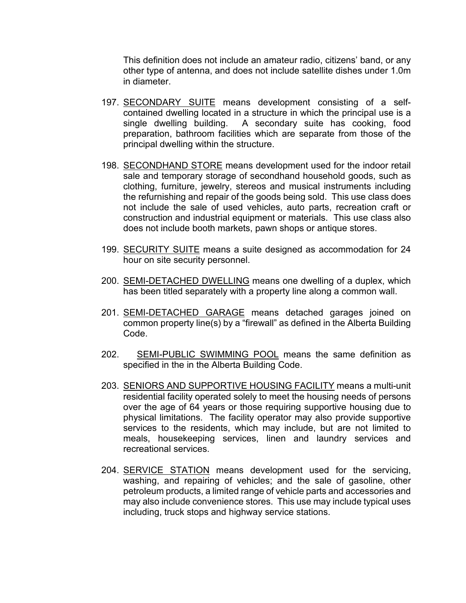This definition does not include an amateur radio, citizens' band, or any other type of antenna, and does not include satellite dishes under 1.0m in diameter.

- 197. SECONDARY SUITE means development consisting of a selfcontained dwelling located in a structure in which the principal use is a single dwelling building. A secondary suite has cooking, food preparation, bathroom facilities which are separate from those of the principal dwelling within the structure.
- 198. SECONDHAND STORE means development used for the indoor retail sale and temporary storage of secondhand household goods, such as clothing, furniture, jewelry, stereos and musical instruments including the refurnishing and repair of the goods being sold. This use class does not include the sale of used vehicles, auto parts, recreation craft or construction and industrial equipment or materials. This use class also does not include booth markets, pawn shops or antique stores.
- 199. SECURITY SUITE means a suite designed as accommodation for 24 hour on site security personnel.
- 200. SEMI-DETACHED DWELLING means one dwelling of a duplex, which has been titled separately with a property line along a common wall.
- 201. SEMI-DETACHED GARAGE means detached garages joined on common property line(s) by a "firewall" as defined in the Alberta Building Code.
- 202. SEMI-PUBLIC SWIMMING POOL means the same definition as specified in the in the Alberta Building Code.
- 203. SENIORS AND SUPPORTIVE HOUSING FACILITY means a multi-unit residential facility operated solely to meet the housing needs of persons over the age of 64 years or those requiring supportive housing due to physical limitations. The facility operator may also provide supportive services to the residents, which may include, but are not limited to meals, housekeeping services, linen and laundry services and recreational services.
- 204. SERVICE STATION means development used for the servicing, washing, and repairing of vehicles; and the sale of gasoline, other petroleum products, a limited range of vehicle parts and accessories and may also include convenience stores. This use may include typical uses including, truck stops and highway service stations.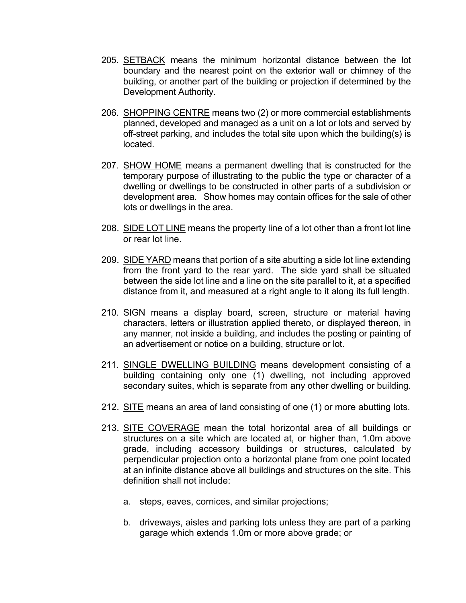- 205. SETBACK means the minimum horizontal distance between the lot boundary and the nearest point on the exterior wall or chimney of the building, or another part of the building or projection if determined by the Development Authority.
- 206. SHOPPING CENTRE means two (2) or more commercial establishments planned, developed and managed as a unit on a lot or lots and served by off-street parking, and includes the total site upon which the building(s) is located.
- 207. SHOW HOME means a permanent dwelling that is constructed for the temporary purpose of illustrating to the public the type or character of a dwelling or dwellings to be constructed in other parts of a subdivision or development area. Show homes may contain offices for the sale of other lots or dwellings in the area.
- 208. SIDE LOT LINE means the property line of a lot other than a front lot line or rear lot line.
- 209. SIDE YARD means that portion of a site abutting a side lot line extending from the front yard to the rear yard. The side yard shall be situated between the side lot line and a line on the site parallel to it, at a specified distance from it, and measured at a right angle to it along its full length.
- 210. SIGN means a display board, screen, structure or material having characters, letters or illustration applied thereto, or displayed thereon, in any manner, not inside a building, and includes the posting or painting of an advertisement or notice on a building, structure or lot.
- 211. SINGLE DWELLING BUILDING means development consisting of a building containing only one (1) dwelling, not including approved secondary suites, which is separate from any other dwelling or building.
- 212. SITE means an area of land consisting of one (1) or more abutting lots.
- 213. SITE COVERAGE mean the total horizontal area of all buildings or structures on a site which are located at, or higher than, 1.0m above grade, including accessory buildings or structures, calculated by perpendicular projection onto a horizontal plane from one point located at an infinite distance above all buildings and structures on the site. This definition shall not include:
	- a. steps, eaves, cornices, and similar projections;
	- b. driveways, aisles and parking lots unless they are part of a parking garage which extends 1.0m or more above grade; or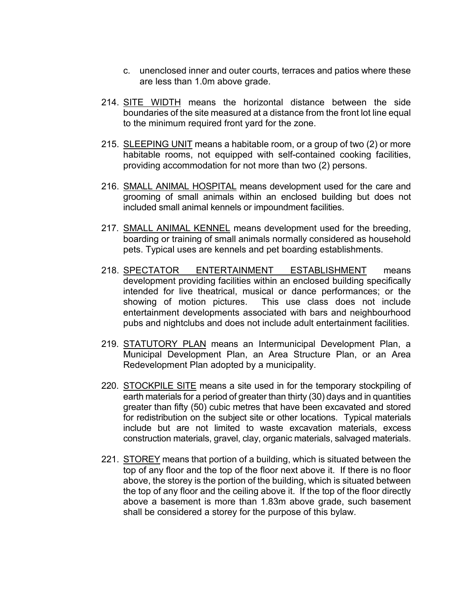- c. unenclosed inner and outer courts, terraces and patios where these are less than 1.0m above grade.
- 214. SITE WIDTH means the horizontal distance between the side boundaries of the site measured at a distance from the front lot line equal to the minimum required front yard for the zone.
- 215. SLEEPING UNIT means a habitable room, or a group of two (2) or more habitable rooms, not equipped with self-contained cooking facilities, providing accommodation for not more than two (2) persons.
- 216. SMALL ANIMAL HOSPITAL means development used for the care and grooming of small animals within an enclosed building but does not included small animal kennels or impoundment facilities.
- 217. SMALL ANIMAL KENNEL means development used for the breeding, boarding or training of small animals normally considered as household pets. Typical uses are kennels and pet boarding establishments.
- 218. SPECTATOR ENTERTAINMENT ESTABLISHMENT means development providing facilities within an enclosed building specifically intended for live theatrical, musical or dance performances; or the showing of motion pictures. This use class does not include entertainment developments associated with bars and neighbourhood pubs and nightclubs and does not include adult entertainment facilities.
- 219. STATUTORY PLAN means an Intermunicipal Development Plan, a Municipal Development Plan, an Area Structure Plan, or an Area Redevelopment Plan adopted by a municipality.
- 220. STOCKPILE SITE means a site used in for the temporary stockpiling of earth materials for a period of greater than thirty (30) days and in quantities greater than fifty (50) cubic metres that have been excavated and stored for redistribution on the subject site or other locations. Typical materials include but are not limited to waste excavation materials, excess construction materials, gravel, clay, organic materials, salvaged materials.
- 221. STOREY means that portion of a building, which is situated between the top of any floor and the top of the floor next above it. If there is no floor above, the storey is the portion of the building, which is situated between the top of any floor and the ceiling above it. If the top of the floor directly above a basement is more than 1.83m above grade, such basement shall be considered a storey for the purpose of this bylaw.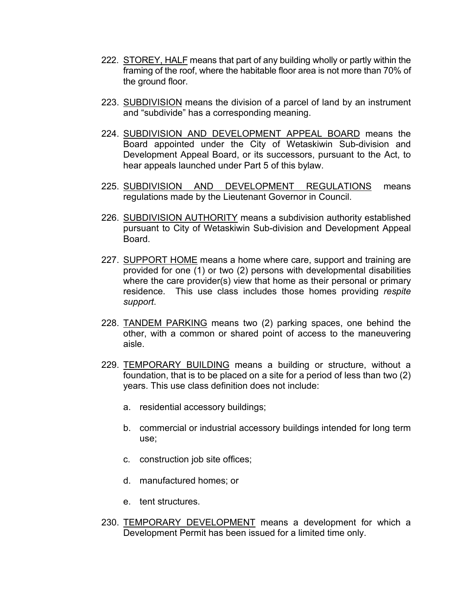- 222. STOREY, HALF means that part of any building wholly or partly within the framing of the roof, where the habitable floor area is not more than 70% of the ground floor.
- 223. SUBDIVISION means the division of a parcel of land by an instrument and "subdivide" has a corresponding meaning.
- 224. SUBDIVISION AND DEVELOPMENT APPEAL BOARD means the Board appointed under the City of Wetaskiwin Sub-division and Development Appeal Board, or its successors, pursuant to the Act, to hear appeals launched under Part 5 of this bylaw.
- 225. SUBDIVISION AND DEVELOPMENT REGULATIONS means regulations made by the Lieutenant Governor in Council.
- 226. SUBDIVISION AUTHORITY means a subdivision authority established pursuant to City of Wetaskiwin Sub-division and Development Appeal Board.
- 227. SUPPORT HOME means a home where care, support and training are provided for one  $(1)$  or two  $(2)$  persons with developmental disabilities where the care provider(s) view that home as their personal or primary residence. This use class includes those homes providing *respite support*.
- 228. TANDEM PARKING means two (2) parking spaces, one behind the other, with a common or shared point of access to the maneuvering aisle.
- 229. TEMPORARY BUILDING means a building or structure, without a foundation, that is to be placed on a site for a period of less than two (2) years. This use class definition does not include:
	- a. residential accessory buildings;
	- b. commercial or industrial accessory buildings intended for long term use;
	- c. construction job site offices;
	- d. manufactured homes; or
	- e. tent structures.
- 230. TEMPORARY DEVELOPMENT means a development for which a Development Permit has been issued for a limited time only.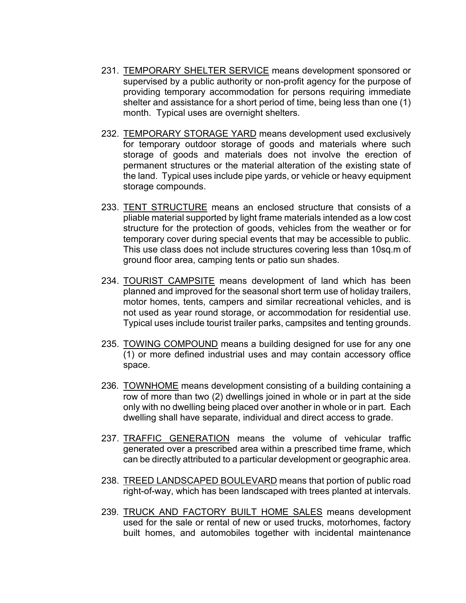- 231. TEMPORARY SHELTER SERVICE means development sponsored or supervised by a public authority or non-profit agency for the purpose of providing temporary accommodation for persons requiring immediate shelter and assistance for a short period of time, being less than one (1) month. Typical uses are overnight shelters.
- 232. TEMPORARY STORAGE YARD means development used exclusively for temporary outdoor storage of goods and materials where such storage of goods and materials does not involve the erection of permanent structures or the material alteration of the existing state of the land. Typical uses include pipe yards, or vehicle or heavy equipment storage compounds.
- 233. TENT STRUCTURE means an enclosed structure that consists of a pliable material supported by light frame materials intended as a low cost structure for the protection of goods, vehicles from the weather or for temporary cover during special events that may be accessible to public. This use class does not include structures covering less than 10sq.m of ground floor area, camping tents or patio sun shades.
- 234. TOURIST CAMPSITE means development of land which has been planned and improved for the seasonal short term use of holiday trailers, motor homes, tents, campers and similar recreational vehicles, and is not used as year round storage, or accommodation for residential use. Typical uses include tourist trailer parks, campsites and tenting grounds.
- 235. TOWING COMPOUND means a building designed for use for any one (1) or more defined industrial uses and may contain accessory office space.
- 236. TOWNHOME means development consisting of a building containing a row of more than two (2) dwellings joined in whole or in part at the side only with no dwelling being placed over another in whole or in part. Each dwelling shall have separate, individual and direct access to grade.
- 237. TRAFFIC GENERATION means the volume of vehicular traffic generated over a prescribed area within a prescribed time frame, which can be directly attributed to a particular development or geographic area.
- 238. TREED LANDSCAPED BOULEVARD means that portion of public road right-of-way, which has been landscaped with trees planted at intervals.
- 239. TRUCK AND FACTORY BUILT HOME SALES means development used for the sale or rental of new or used trucks, motorhomes, factory built homes, and automobiles together with incidental maintenance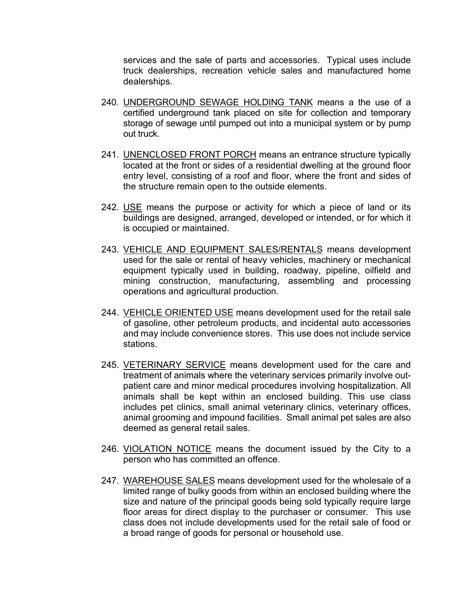services and the sale of parts and accessories. Typical uses include truck dealerships, recreation vehicle sales and manufactured home dealerships.

- 240. UNDERGROUND SEWAGE HOLDING TANK means a the use of a certified underground tank placed on site for collection and temporary storage of sewage until pumped out into a municipal system or by pump out truck.
- 241. UNENCLOSED FRONT PORCH means an entrance structure typically located at the front or sides of a residential dwelling at the ground floor entry level, consisting of a roof and floor, where the front and sides of the structure remain open to the outside elements.
- 242. USE means the purpose or activity for which a piece of land or its buildings are designed, arranged, developed or intended, or for which it is occupied or maintained.
- 243. VEHICLE AND EQUIPMENT SALES/RENTALS means development used for the sale or rental of heavy vehicles, machinery or mechanical equipment typically used in building, roadway, pipeline, oilfield and mining construction, manufacturing, assembling and processing operations and agricultural production.
- 244. VEHICLE ORIENTED USE means development used for the retail sale of gasoline, other petroleum products, and incidental auto accessories and may include convenience stores. This use does not include service stations.
- 245. VETERINARY SERVICE means development used for the care and treatment of animals where the veterinary services primarily involve outpatient care and minor medical procedures involving hospitalization. All animals shall be kept within an enclosed building. This use class includes pet clinics, small animal veterinary clinics, veterinary offices, animal grooming and impound facilities. Small animal pet sales are also deemed as general retail sales.
- 246. VIOLATION NOTICE means the document issued by the City to a person who has committed an offence.
- 247. WAREHOUSE SALES means development used for the wholesale of a limited range of bulky goods from within an enclosed building where the size and nature of the principal goods being sold typically require large floor areas for direct display to the purchaser or consumer. This use class does not include developments used for the retail sale of food or a broad range of goods for personal or household use.